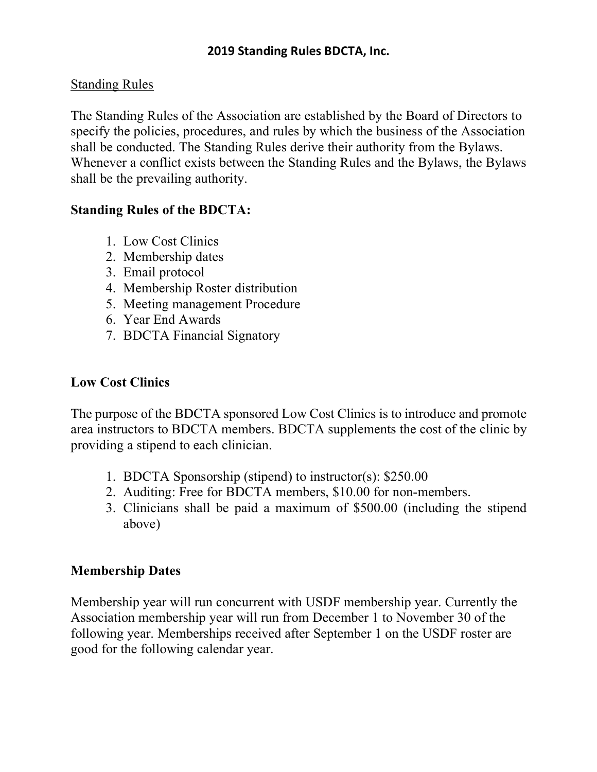## Standing Rules

The Standing Rules of the Association are established by the Board of Directors to specify the policies, procedures, and rules by which the business of the Association shall be conducted. The Standing Rules derive their authority from the Bylaws. Whenever a conflict exists between the Standing Rules and the Bylaws, the Bylaws shall be the prevailing authority.

## **Standing Rules of the BDCTA:**

- 1. Low Cost Clinics
- 2. Membership dates
- 3. Email protocol
- 4. Membership Roster distribution
- 5. Meeting management Procedure
- 6. Year End Awards
- 7. BDCTA Financial Signatory

## **Low Cost Clinics**

The purpose of the BDCTA sponsored Low Cost Clinics is to introduce and promote area instructors to BDCTA members. BDCTA supplements the cost of the clinic by providing a stipend to each clinician.

- 1. BDCTA Sponsorship (stipend) to instructor(s): \$250.00
- 2. Auditing: Free for BDCTA members, \$10.00 for non-members.
- 3. Clinicians shall be paid a maximum of \$500.00 (including the stipend above)

# **Membership Dates**

Membership year will run concurrent with USDF membership year. Currently the Association membership year will run from December 1 to November 30 of the following year. Memberships received after September 1 on the USDF roster are good for the following calendar year.